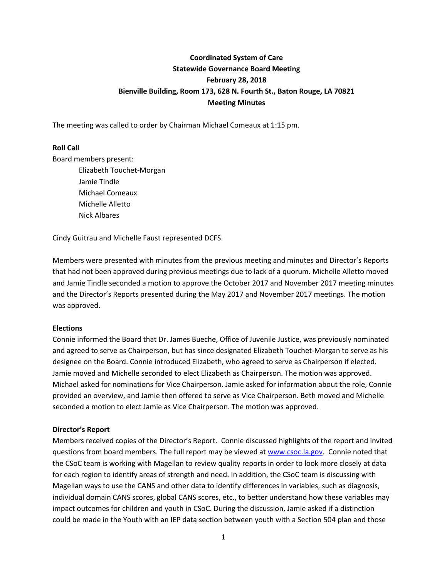# **Coordinated System of Care Statewide Governance Board Meeting February 28, 2018 Bienville Building, Room 173, 628 N. Fourth St., Baton Rouge, LA 70821 Meeting Minutes**

The meeting was called to order by Chairman Michael Comeaux at 1:15 pm.

# **Roll Call**

Board members present:

Elizabeth Touchet-Morgan Jamie Tindle Michael Comeaux Michelle Alletto Nick Albares

Cindy Guitrau and Michelle Faust represented DCFS.

Members were presented with minutes from the previous meeting and minutes and Director's Reports that had not been approved during previous meetings due to lack of a quorum. Michelle Alletto moved and Jamie Tindle seconded a motion to approve the October 2017 and November 2017 meeting minutes and the Director's Reports presented during the May 2017 and November 2017 meetings. The motion was approved.

#### **Elections**

Connie informed the Board that Dr. James Bueche, Office of Juvenile Justice, was previously nominated and agreed to serve as Chairperson, but has since designated Elizabeth Touchet-Morgan to serve as his designee on the Board. Connie introduced Elizabeth, who agreed to serve as Chairperson if elected. Jamie moved and Michelle seconded to elect Elizabeth as Chairperson. The motion was approved. Michael asked for nominations for Vice Chairperson. Jamie asked for information about the role, Connie provided an overview, and Jamie then offered to serve as Vice Chairperson. Beth moved and Michelle seconded a motion to elect Jamie as Vice Chairperson. The motion was approved.

#### **Director's Report**

Members received copies of the Director's Report. Connie discussed highlights of the report and invited questions from board members. The full report may be viewed at [www.csoc.la.gov.](http://www.csoc.la.gov/) Connie noted that the CSoC team is working with Magellan to review quality reports in order to look more closely at data for each region to identify areas of strength and need. In addition, the CSoC team is discussing with Magellan ways to use the CANS and other data to identify differences in variables, such as diagnosis, individual domain CANS scores, global CANS scores, etc., to better understand how these variables may impact outcomes for children and youth in CSoC. During the discussion, Jamie asked if a distinction could be made in the Youth with an IEP data section between youth with a Section 504 plan and those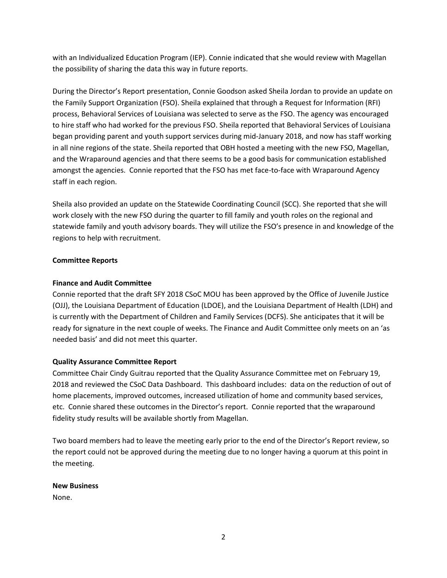with an Individualized Education Program (IEP). Connie indicated that she would review with Magellan the possibility of sharing the data this way in future reports.

During the Director's Report presentation, Connie Goodson asked Sheila Jordan to provide an update on the Family Support Organization (FSO). Sheila explained that through a Request for Information (RFI) process, Behavioral Services of Louisiana was selected to serve as the FSO. The agency was encouraged to hire staff who had worked for the previous FSO. Sheila reported that Behavioral Services of Louisiana began providing parent and youth support services during mid-January 2018, and now has staff working in all nine regions of the state. Sheila reported that OBH hosted a meeting with the new FSO, Magellan, and the Wraparound agencies and that there seems to be a good basis for communication established amongst the agencies. Connie reported that the FSO has met face-to-face with Wraparound Agency staff in each region.

Sheila also provided an update on the Statewide Coordinating Council (SCC). She reported that she will work closely with the new FSO during the quarter to fill family and youth roles on the regional and statewide family and youth advisory boards. They will utilize the FSO's presence in and knowledge of the regions to help with recruitment.

# **Committee Reports**

# **Finance and Audit Committee**

Connie reported that the draft SFY 2018 CSoC MOU has been approved by the Office of Juvenile Justice (OJJ), the Louisiana Department of Education (LDOE), and the Louisiana Department of Health (LDH) and is currently with the Department of Children and Family Services (DCFS). She anticipates that it will be ready for signature in the next couple of weeks. The Finance and Audit Committee only meets on an 'as needed basis' and did not meet this quarter.

## **Quality Assurance Committee Report**

Committee Chair Cindy Guitrau reported that the Quality Assurance Committee met on February 19, 2018 and reviewed the CSoC Data Dashboard. This dashboard includes: data on the reduction of out of home placements, improved outcomes, increased utilization of home and community based services, etc. Connie shared these outcomes in the Director's report. Connie reported that the wraparound fidelity study results will be available shortly from Magellan.

Two board members had to leave the meeting early prior to the end of the Director's Report review, so the report could not be approved during the meeting due to no longer having a quorum at this point in the meeting.

## **New Business**

None.